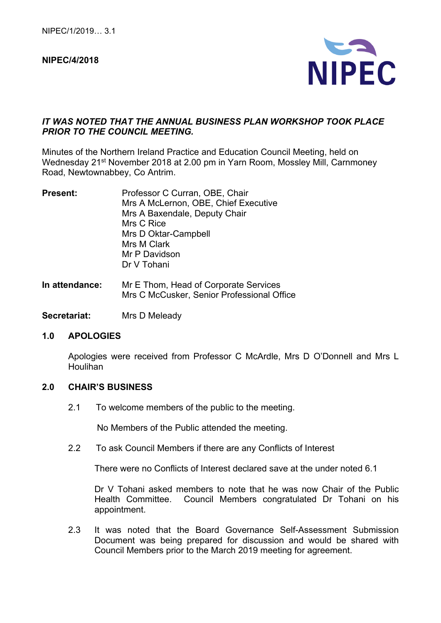#### **NIPEC/4/2018**



### *IT WAS NOTED THAT THE ANNUAL BUSINESS PLAN WORKSHOP TOOK PLACE PRIOR TO THE COUNCIL MEETING.*

Minutes of the Northern Ireland Practice and Education Council Meeting, held on Wednesday 21<sup>st</sup> November 2018 at 2.00 pm in Yarn Room, Mossley Mill, Carnmoney Road, Newtownabbey, Co Antrim.

| <b>Present:</b> | Professor C Curran, OBE, Chair       |
|-----------------|--------------------------------------|
|                 | Mrs A McLernon, OBE, Chief Executive |
|                 | Mrs A Baxendale, Deputy Chair        |
|                 | Mrs C Rice                           |
|                 | Mrs D Oktar-Campbell                 |
|                 | Mrs M Clark                          |
|                 | Mr P Davidson                        |
|                 | Dr V Tohani                          |
|                 |                                      |

- **In attendance:** Mr E Thom, Head of Corporate Services Mrs C McCusker, Senior Professional Office
- **Secretariat:** Mrs D Meleady

#### **1.0 APOLOGIES**

Apologies were received from Professor C McArdle, Mrs D O'Donnell and Mrs L Houlihan

#### **2.0 CHAIR'S BUSINESS**

2.1 To welcome members of the public to the meeting.

No Members of the Public attended the meeting.

2.2 To ask Council Members if there are any Conflicts of Interest

There were no Conflicts of Interest declared save at the under noted 6.1

Dr V Tohani asked members to note that he was now Chair of the Public Health Committee. Council Members congratulated Dr Tohani on his appointment.

2.3 It was noted that the Board Governance Self-Assessment Submission Document was being prepared for discussion and would be shared with Council Members prior to the March 2019 meeting for agreement.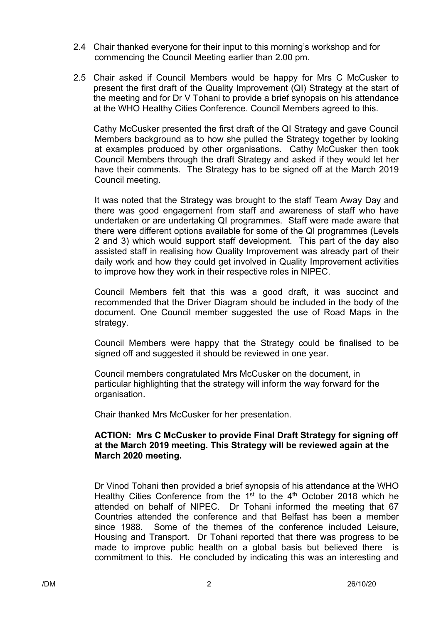- 2.4 Chair thanked everyone for their input to this morning's workshop and for commencing the Council Meeting earlier than 2.00 pm.
- 2.5 Chair asked if Council Members would be happy for Mrs C McCusker to present the first draft of the Quality Improvement (QI) Strategy at the start of the meeting and for Dr V Tohani to provide a brief synopsis on his attendance at the WHO Healthy Cities Conference. Council Members agreed to this.

Cathy McCusker presented the first draft of the QI Strategy and gave Council Members background as to how she pulled the Strategy together by looking at examples produced by other organisations. Cathy McCusker then took Council Members through the draft Strategy and asked if they would let her have their comments. The Strategy has to be signed off at the March 2019 Council meeting.

It was noted that the Strategy was brought to the staff Team Away Day and there was good engagement from staff and awareness of staff who have undertaken or are undertaking QI programmes. Staff were made aware that there were different options available for some of the QI programmes (Levels 2 and 3) which would support staff development. This part of the day also assisted staff in realising how Quality Improvement was already part of their daily work and how they could get involved in Quality Improvement activities to improve how they work in their respective roles in NIPEC.

Council Members felt that this was a good draft, it was succinct and recommended that the Driver Diagram should be included in the body of the document. One Council member suggested the use of Road Maps in the strategy.

Council Members were happy that the Strategy could be finalised to be signed off and suggested it should be reviewed in one year.

Council members congratulated Mrs McCusker on the document, in particular highlighting that the strategy will inform the way forward for the organisation.

Chair thanked Mrs McCusker for her presentation.

### **ACTION: Mrs C McCusker to provide Final Draft Strategy for signing off at the March 2019 meeting. This Strategy will be reviewed again at the March 2020 meeting.**

Dr Vinod Tohani then provided a brief synopsis of his attendance at the WHO Healthy Cities Conference from the  $1<sup>st</sup>$  to the  $4<sup>th</sup>$  October 2018 which he attended on behalf of NIPEC. Dr Tohani informed the meeting that 67 Countries attended the conference and that Belfast has been a member since 1988. Some of the themes of the conference included Leisure, Housing and Transport. Dr Tohani reported that there was progress to be made to improve public health on a global basis but believed there is commitment to this. He concluded by indicating this was an interesting and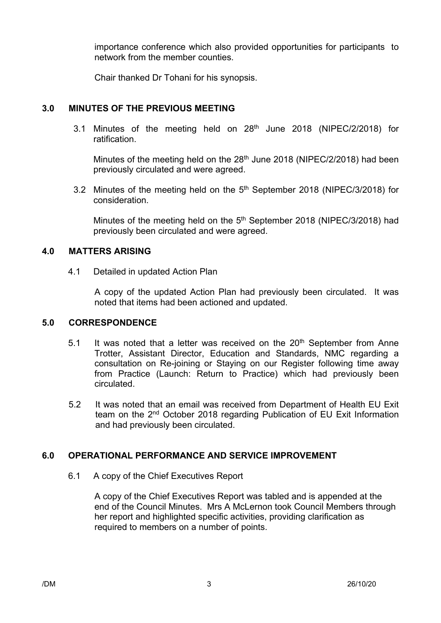importance conference which also provided opportunities for participants to network from the member counties.

Chair thanked Dr Tohani for his synopsis.

# **3.0 MINUTES OF THE PREVIOUS MEETING**

3.1 Minutes of the meeting held on 28<sup>th</sup> June 2018 (NIPEC/2/2018) for ratification.

Minutes of the meeting held on the  $28<sup>th</sup>$  June 2018 (NIPEC/2/2018) had been previously circulated and were agreed.

3.2 Minutes of the meeting held on the 5<sup>th</sup> September 2018 (NIPEC/3/2018) for consideration.

Minutes of the meeting held on the  $5<sup>th</sup>$  September 2018 (NIPEC/3/2018) had previously been circulated and were agreed.

## **4.0 MATTERS ARISING**

4.1 Detailed in updated Action Plan

A copy of the updated Action Plan had previously been circulated. It was noted that items had been actioned and updated.

## **5.0 CORRESPONDENCE**

- 5.1 It was noted that a letter was received on the 20<sup>th</sup> September from Anne Trotter, Assistant Director, Education and Standards, NMC regarding a consultation on Re-joining or Staying on our Register following time away from Practice (Launch: Return to Practice) which had previously been circulated.
- 5.2 It was noted that an email was received from Department of Health EU Exit team on the 2<sup>nd</sup> October 2018 regarding Publication of EU Exit Information and had previously been circulated.

# **6.0 OPERATIONAL PERFORMANCE AND SERVICE IMPROVEMENT**

6.1 A copy of the Chief Executives Report

A copy of the Chief Executives Report was tabled and is appended at the end of the Council Minutes. Mrs A McLernon took Council Members through her report and highlighted specific activities, providing clarification as required to members on a number of points.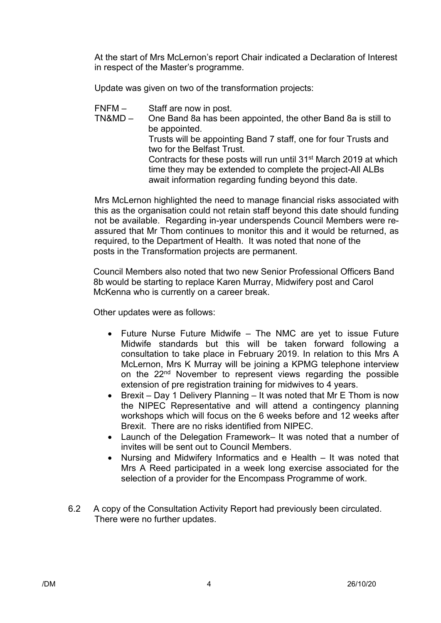At the start of Mrs McLernon's report Chair indicated a Declaration of Interest in respect of the Master's programme.

Update was given on two of the transformation projects:

- FNFM Staff are now in post.<br>TN&MD One Band 8a has been
- One Band 8a has been appointed, the other Band 8a is still to be appointed. Trusts will be appointing Band 7 staff, one for four Trusts and two for the Belfast Trust. Contracts for these posts will run until 31st March 2019 at which time they may be extended to complete the project-All ALBs await information regarding funding beyond this date.

Mrs McLernon highlighted the need to manage financial risks associated with this as the organisation could not retain staff beyond this date should funding not be available. Regarding in-year underspends Council Members were reassured that Mr Thom continues to monitor this and it would be returned, as required, to the Department of Health. It was noted that none of the posts in the Transformation projects are permanent.

Council Members also noted that two new Senior Professional Officers Band 8b would be starting to replace Karen Murray, Midwifery post and Carol McKenna who is currently on a career break.

Other updates were as follows:

- Future Nurse Future Midwife The NMC are yet to issue Future Midwife standards but this will be taken forward following a consultation to take place in February 2019. In relation to this Mrs A McLernon, Mrs K Murray will be joining a KPMG telephone interview on the 22nd November to represent views regarding the possible extension of pre registration training for midwives to 4 years.
- Brexit Day 1 Delivery Planning It was noted that Mr E Thom is now the NIPEC Representative and will attend a contingency planning workshops which will focus on the 6 weeks before and 12 weeks after Brexit. There are no risks identified from NIPEC.
- Launch of the Delegation Framework– It was noted that a number of invites will be sent out to Council Members.
- Nursing and Midwifery Informatics and e Health It was noted that Mrs A Reed participated in a week long exercise associated for the selection of a provider for the Encompass Programme of work.
- 6.2 A copy of the Consultation Activity Report had previously been circulated. There were no further updates.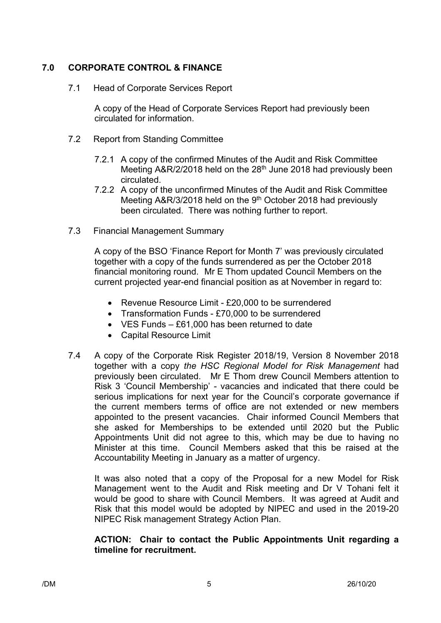# **7.0 CORPORATE CONTROL & FINANCE**

7.1 Head of Corporate Services Report

A copy of the Head of Corporate Services Report had previously been circulated for information.

- 7.2 Report from Standing Committee
	- 7.2.1 A copy of the confirmed Minutes of the Audit and Risk Committee Meeting A&R/2/2018 held on the 28<sup>th</sup> June 2018 had previously been circulated.
	- 7.2.2 A copy of the unconfirmed Minutes of the Audit and Risk Committee Meeting A&R/3/2018 held on the 9<sup>th</sup> October 2018 had previously been circulated. There was nothing further to report.
- 7.3 Financial Management Summary

A copy of the BSO 'Finance Report for Month 7' was previously circulated together with a copy of the funds surrendered as per the October 2018 financial monitoring round. Mr E Thom updated Council Members on the current projected year-end financial position as at November in regard to:

- Revenue Resource Limit £20,000 to be surrendered
- Transformation Funds £70,000 to be surrendered
- VES Funds £61,000 has been returned to date
- Capital Resource Limit
- 7.4 A copy of the Corporate Risk Register 2018/19, Version 8 November 2018 together with a copy *the HSC Regional Model for Risk Management* had previously been circulated.Mr E Thom drew Council Members attention to Risk 3 'Council Membership' - vacancies and indicated that there could be serious implications for next year for the Council's corporate governance if the current members terms of office are not extended or new members appointed to the present vacancies. Chair informed Council Members that she asked for Memberships to be extended until 2020 but the Public Appointments Unit did not agree to this, which may be due to having no Minister at this time. Council Members asked that this be raised at the Accountability Meeting in January as a matter of urgency.

It was also noted that a copy of the Proposal for a new Model for Risk Management went to the Audit and Risk meeting and Dr V Tohani felt it would be good to share with Council Members. It was agreed at Audit and Risk that this model would be adopted by NIPEC and used in the 2019-20 NIPEC Risk management Strategy Action Plan.

### **ACTION: Chair to contact the Public Appointments Unit regarding a timeline for recruitment.**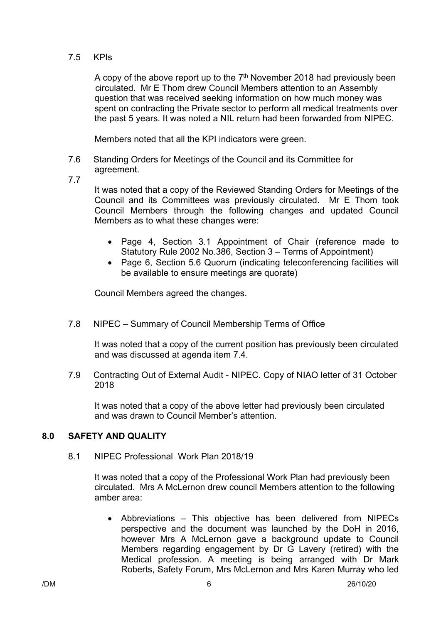### 7.5 KPIs

A copy of the above report up to the  $7<sup>th</sup>$  November 2018 had previously been circulated. Mr E Thom drew Council Members attention to an Assembly question that was received seeking information on how much money was spent on contracting the Private sector to perform all medical treatments over the past 5 years. It was noted a NIL return had been forwarded from NIPEC.

Members noted that all the KPI indicators were green.

- 7.6 Standing Orders for Meetings of the Council and its Committee for agreement.
- 7.7

It was noted that a copy of the Reviewed Standing Orders for Meetings of the Council and its Committees was previously circulated. Mr E Thom took Council Members through the following changes and updated Council Members as to what these changes were:

- Page 4, Section 3.1 Appointment of Chair (reference made to Statutory Rule 2002 No.386, Section 3 – Terms of Appointment)
- Page 6, Section 5.6 Quorum (indicating teleconferencing facilities will be available to ensure meetings are quorate)

Council Members agreed the changes.

7.8 NIPEC – Summary of Council Membership Terms of Office

It was noted that a copy of the current position has previously been circulated and was discussed at agenda item 7.4.

7.9 Contracting Out of External Audit - NIPEC. Copy of NIAO letter of 31 October 2018

It was noted that a copy of the above letter had previously been circulated and was drawn to Council Member's attention.

## **8.0 SAFETY AND QUALITY**

8.1 NIPEC Professional Work Plan 2018/19

It was noted that a copy of the Professional Work Plan had previously been circulated. Mrs A McLernon drew council Members attention to the following amber area:

• Abbreviations – This objective has been delivered from NIPECs perspective and the document was launched by the DoH in 2016, however Mrs A McLernon gave a background update to Council Members regarding engagement by Dr G Lavery (retired) with the Medical profession. A meeting is being arranged with Dr Mark Roberts, Safety Forum, Mrs McLernon and Mrs Karen Murray who led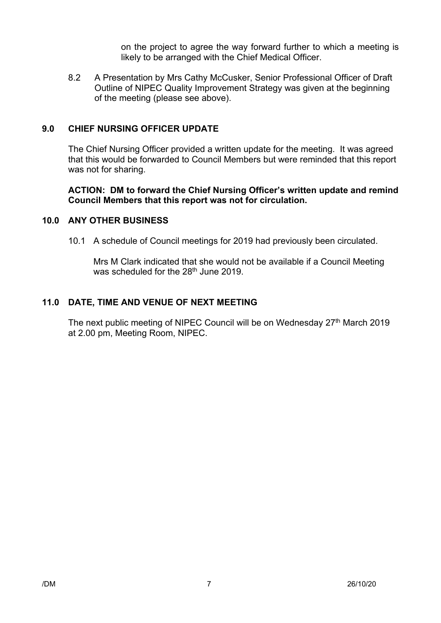on the project to agree the way forward further to which a meeting is likely to be arranged with the Chief Medical Officer.

8.2 A Presentation by Mrs Cathy McCusker, Senior Professional Officer of Draft Outline of NIPEC Quality Improvement Strategy was given at the beginning of the meeting (please see above).

### **9.0 CHIEF NURSING OFFICER UPDATE**

The Chief Nursing Officer provided a written update for the meeting. It was agreed that this would be forwarded to Council Members but were reminded that this report was not for sharing.

### **ACTION: DM to forward the Chief Nursing Officer's written update and remind Council Members that this report was not for circulation.**

### **10.0 ANY OTHER BUSINESS**

10.1 A schedule of Council meetings for 2019 had previously been circulated.

Mrs M Clark indicated that she would not be available if a Council Meeting was scheduled for the 28<sup>th</sup> June 2019.

### **11.0 DATE, TIME AND VENUE OF NEXT MEETING**

The next public meeting of NIPEC Council will be on Wednesday 27<sup>th</sup> March 2019 at 2.00 pm, Meeting Room, NIPEC.